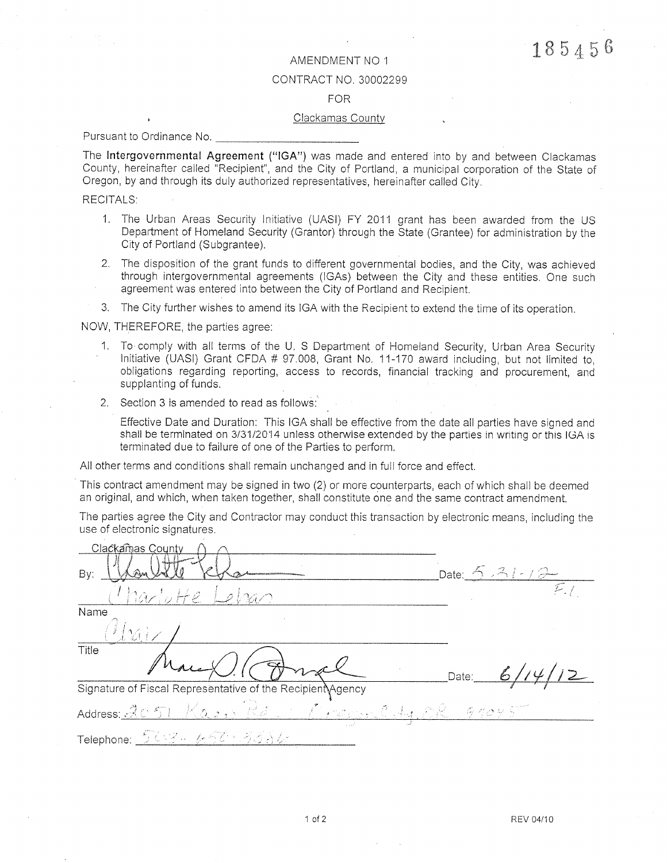## AMENDMENT NO 1

#### CONTRACT NO. 30002299

### **FOR**

#### Clackamas County

Pursuant to Ordinance No.

The Intergovernmental Agreement ("IGA") was made and entered into by and between Clackamas County, hereinafter called "Recipient", and the City of Portland, a municipal corporation of the State of Oregon, by and through its duly authorized representatives, hereinafter called City.

**RECITALS:** 

- 1. The Urban Areas Security Initiative (UASI) FY 2011 grant has been awarded from the US Department of Homeland Security (Grantor) through the State (Grantee) for administration by the City of Portland (Subgrantee).
- 2. The disposition of the grant funds to different governmental bodies, and the City, was achieved through intergovernmental agreements (IGAs) between the City and these entities. One such agreement was entered into between the City of Portland and Recipient.
- 3. The City further wishes to amend its IGA with the Recipient to extend the time of its operation.

NOW, THEREFORE, the parties agree:

- 1. To comply with all terms of the U. S Department of Homeland Security, Urban Area Security Initiative (UASI) Grant CFDA # 97.008, Grant No. 11-170 award including, but not limited to, obligations regarding reporting, access to records, financial tracking and procurement, and supplanting of funds.
- 2. Section 3 is amended to read as follows:

Effective Date and Duration: This IGA shall be effective from the date all parties have signed and shall be terminated on 3/31/2014 unless otherwise extended by the parties in writing or this IGA is terminated due to failure of one of the Parties to perform.

All other terms and conditions shall remain unchanged and in full force and effect.

This contract amendment may be signed in two (2) or more counterparts, each of which shall be deemed an original, and which, when taken together, shall constitute one and the same contract amendment.

The parties agree the City and Contractor may conduct this transaction by electronic means, including the use of electronic signatures.

| Clackamas County                                           |                   |
|------------------------------------------------------------|-------------------|
| By:                                                        | Date: $5.31 - 12$ |
| harlotte 1<br>$L$ elran                                    |                   |
| Name                                                       |                   |
| $\mathcal{W}$                                              |                   |
| Title                                                      | 6114<br>Date:     |
| Signature of Fiscal Representative of the Recipient Agency |                   |
| Address: 2051 Kaop Rd. 1 Procence A. C.R. 91045            |                   |
| Telephone: <u>ラムビー ムイオータオネジ</u>                            |                   |